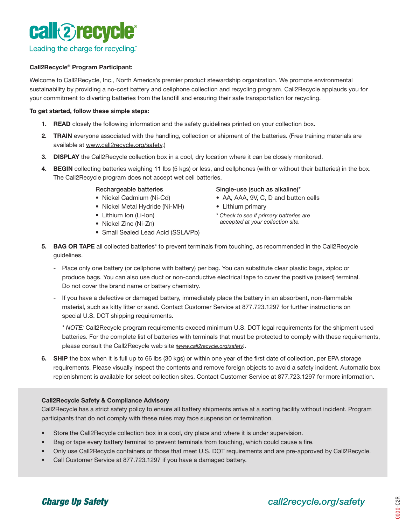

#### Call2Recycle® Program Participant:

Welcome to Call2Recycle, Inc., North America's premier product stewardship organization. We promote environmental sustainability by providing a no-cost battery and cellphone collection and recycling program. Call2Recycle applauds you for your commitment to diverting batteries from the landfill and ensuring their safe transportation for recycling.

#### To get started, follow these simple steps:

- 1. READ closely the following information and the safety guidelines printed on your collection box.
- 2. TRAIN everyone associated with the handling, collection or shipment of the batteries. (Free training materials are available at www.call2recycle.org/safety.)
- 3. DISPLAY the Call2Recycle collection box in a cool, dry location where it can be closely monitored.
- 4. BEGIN collecting batteries weighing 11 lbs (5 kgs) or less, and cellphones (with or without their batteries) in the box. The Call2Recycle program does not accept wet cell batteries.

#### Rechargeable batteries

- Nickel Cadmium (Ni-Cd)
- Nickel Metal Hydride (Ni-MH)
- Lithium Ion (Li-Ion)
- Nickel Zinc (Ni-Zn)
- Small Sealed Lead Acid (SSLA/Pb)

#### Single-use (such as alkaline)\*

- AA, AAA, 9V, C, D and button cells
- Lithium primary
- *\* Check to see if primary batteries are accepted at your collection site.*
- 5. BAG OR TAPE all collected batteries\* to prevent terminals from touching, as recommended in the Call2Recycle guidelines.
	- Place only one battery (or cellphone with battery) per bag. You can substitute clear plastic bags, ziploc or produce bags. You can also use duct or non-conductive electrical tape to cover the positive (raised) terminal. Do not cover the brand name or battery chemistry.
	- If you have a defective or damaged battery, immediately place the battery in an absorbent, non-flammable material, such as kitty litter or sand. Contact Customer Service at 877.723.1297 for further instructions on special U.S. DOT shipping requirements.

*\* NOTE:* Call2Recycle program requirements exceed minimum U.S. DOT legal requirements for the shipment used batteries. For the complete list of batteries with terminals that must be protected to comply with these requirements, please consult the Call2Recycle web site *(www.call2recycle.org/safety)*.

6. SHIP the box when it is full up to 66 lbs (30 kgs) or within one year of the first date of collection, per EPA storage requirements. Please visually inspect the contents and remove foreign objects to avoid a safety incident. Automatic box replenishment is available for select collection sites. Contact Customer Service at 877.723.1297 for more information.

#### Call2Recycle Safety & Compliance Advisory

Call2Recycle has a strict safety policy to ensure all battery shipments arrive at a sorting facility without incident. Program participants that do not comply with these rules may face suspension or termination.

- Store the Call2Recycle collection box in a cool, dry place and where it is under supervision.
- Bag or tape every battery terminal to prevent terminals from touching, which could cause a fire.
- Only use Call2Recycle containers or those that meet U.S. DOT requirements and are pre-approved by Call2Recycle.
- Call Customer Service at 877.723.1297 if you have a damaged battery.